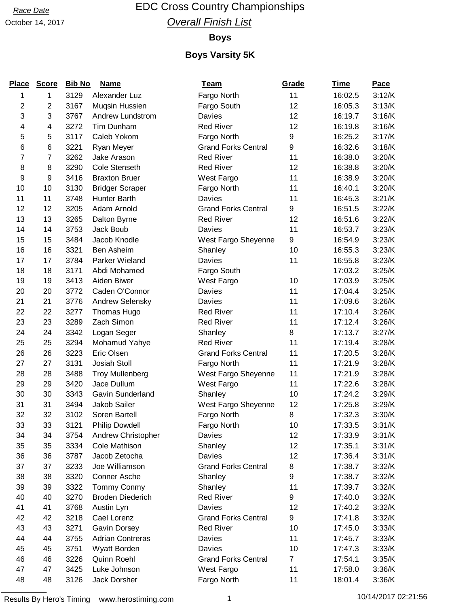# Race Date **EDC Cross Country Championships Overall Finish List**

#### **Boys**

| <b>Place</b>   | <b>Score</b> | <b>Bib No</b> | <b>Name</b>             | <u>Team</u>                | Grade          | <u>Time</u> | Pace   |
|----------------|--------------|---------------|-------------------------|----------------------------|----------------|-------------|--------|
| 1              | 1            | 3129          | Alexander Luz           | Fargo North                | 11             | 16:02.5     | 3:12/K |
| 2              | 2            | 3167          | Mugsin Hussien          | Fargo South                | 12             | 16:05.3     | 3:13/K |
| 3              | 3            | 3767          | Andrew Lundstrom        | Davies                     | 12             | 16:19.7     | 3:16/K |
| 4              | 4            | 3272          | Tim Dunham              | <b>Red River</b>           | 12             | 16:19.8     | 3:16/K |
| 5              | 5            | 3117          | Caleb Yokom             | Fargo North                | 9              | 16:25.2     | 3:17/K |
| 6              | 6            | 3221          | Ryan Meyer              | <b>Grand Forks Central</b> | 9              | 16:32.6     | 3:18/K |
| $\overline{7}$ | 7            | 3262          | Jake Arason             | <b>Red River</b>           | 11             | 16:38.0     | 3:20/K |
| 8              | 8            | 3290          | Cole Stenseth           | <b>Red River</b>           | 12             | 16:38.8     | 3:20/K |
| 9              | 9            | 3416          | <b>Braxton Bruer</b>    | West Fargo                 | 11             | 16:38.9     | 3:20/K |
| 10             | 10           | 3130          | <b>Bridger Scraper</b>  | Fargo North                | 11             | 16:40.1     | 3:20/K |
| 11             | 11           | 3748          | Hunter Barth            | Davies                     | 11             | 16:45.3     | 3:21/K |
| 12             | 12           | 3205          | Adam Arnold             | <b>Grand Forks Central</b> | 9              | 16:51.5     | 3:22/K |
| 13             | 13           | 3265          | Dalton Byrne            | <b>Red River</b>           | 12             | 16:51.6     | 3:22/K |
| 14             | 14           | 3753          | Jack Boub               | Davies                     | 11             | 16:53.7     | 3:23/K |
| 15             | 15           | 3484          | Jacob Knodle            | West Fargo Sheyenne        | 9              | 16:54.9     | 3:23/K |
| 16             | 16           | 3321          | Ben Asheim              | Shanley                    | 10             | 16:55.3     | 3:23/K |
| 17             | 17           | 3784          | Parker Wieland          | Davies                     | 11             | 16:55.8     | 3:23/K |
| 18             | 18           | 3171          | Abdi Mohamed            | Fargo South                |                | 17:03.2     | 3:25/K |
| 19             | 19           | 3413          | Aiden Biwer             | West Fargo                 | 10             | 17:03.9     | 3:25/K |
| 20             | 20           | 3772          | Caden O'Connor          | Davies                     | 11             | 17:04.4     | 3:25/K |
| 21             | 21           | 3776          | Andrew Selensky         | Davies                     | 11             | 17:09.6     | 3:26/K |
| 22             | 22           | 3277          | Thomas Hugo             | <b>Red River</b>           | 11             | 17:10.4     | 3:26/K |
| 23             | 23           | 3289          | Zach Simon              | <b>Red River</b>           | 11             | 17:12.4     | 3:26/K |
| 24             | 24           | 3342          | Logan Seger             | Shanley                    | 8              | 17:13.7     | 3:27/K |
| 25             | 25           | 3294          | Mohamud Yahye           | <b>Red River</b>           | 11             | 17:19.4     | 3:28/K |
| 26             | 26           | 3223          | Eric Olsen              | <b>Grand Forks Central</b> | 11             | 17:20.5     | 3:28/K |
| 27             | 27           | 3131          | Josiah Stoll            | Fargo North                | 11             | 17:21.9     | 3:28/K |
| 28             | 28           | 3488          | <b>Troy Mullenberg</b>  | West Fargo Sheyenne        | 11             | 17:21.9     | 3:28/K |
| 29             | 29           | 3420          | Jace Dullum             | West Fargo                 | 11             | 17:22.6     | 3:28/K |
| 30             | 30           | 3343          | Gavin Sunderland        | Shanley                    | 10             | 17:24.2     | 3:29/K |
| 31             | 31           | 3494          | Jakob Sailer            | West Fargo Sheyenne        | 12             | 17:25.8     | 3:29/K |
| 32             | 32           | 3102          | Soren Bartell           | Fargo North                | 8              | 17:32.3     | 3:30/K |
| 33             | 33           | 3121          | Philip Dowdell          | Fargo North                | 10             | 17:33.5     | 3:31/K |
| 34             | 34           | 3754          | Andrew Christopher      | Davies                     | 12             | 17:33.9     | 3:31/K |
| 35             | 35           | 3334          | Cole Mathison           | Shanley                    | 12             | 17:35.1     | 3:31/K |
| 36             | 36           | 3787          | Jacob Zetocha           | Davies                     | 12             | 17:36.4     | 3:31/K |
| 37             | 37           | 3233          | Joe Williamson          | <b>Grand Forks Central</b> | 8              | 17:38.7     | 3:32/K |
| 38             | 38           | 3320          | Conner Asche            | Shanley                    | 9              | 17:38.7     | 3:32/K |
| 39             | 39           | 3322          | Tommy Conmy             | Shanley                    | 11             | 17:39.7     | 3:32/K |
| 40             | 40           | 3270          | <b>Broden Diederich</b> | <b>Red River</b>           | 9              | 17:40.0     | 3:32/K |
| 41             | 41           | 3768          | Austin Lyn              | Davies                     | 12             | 17:40.2     | 3:32/K |
| 42             | 42           | 3218          | Cael Lorenz             | <b>Grand Forks Central</b> | 9              | 17:41.8     | 3:32/K |
| 43             | 43           | 3271          | Gavin Dorsey            | <b>Red River</b>           | 10             | 17:45.0     | 3:33/K |
| 44             | 44           | 3755          | <b>Adrian Contreras</b> | Davies                     | 11             | 17:45.7     | 3:33/K |
| 45             | 45           | 3751          | Wyatt Borden            | Davies                     | 10             | 17:47.3     | 3:33/K |
| 46             | 46           | 3226          | Quinn Roehl             | <b>Grand Forks Central</b> | $\overline{7}$ | 17:54.1     | 3:35/K |
| 47             | 47           | 3425          | Luke Johnson            | West Fargo                 | 11             | 17:58.0     | 3:36/K |
| 48             | 48           | 3126          | Jack Dorsher            | Fargo North                | 11             | 18:01.4     | 3:36/K |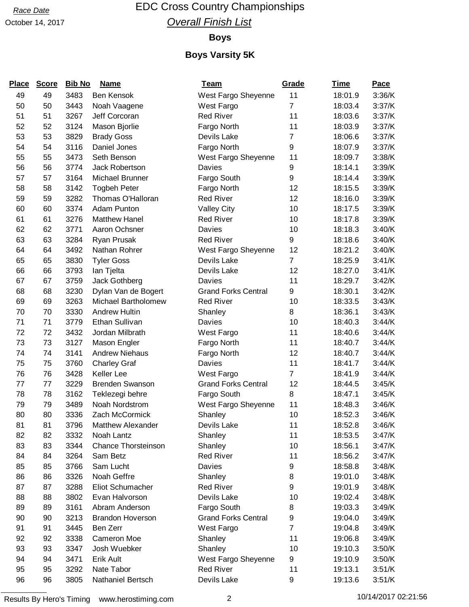# Race Date **EDC Cross Country Championships Overall Finish List**

#### **Boys**

| <b>Place</b> | <b>Score</b> | <b>Bib No</b> | <b>Name</b>                | <b>Team</b>                | Grade          | <u>Time</u> | <b>Pace</b> |
|--------------|--------------|---------------|----------------------------|----------------------------|----------------|-------------|-------------|
| 49           | 49           | 3483          | <b>Ben Kensok</b>          | West Fargo Sheyenne        | 11             | 18:01.9     | 3:36/K      |
| 50           | 50           | 3443          | Noah Vaagene               | West Fargo                 | $\overline{7}$ | 18:03.4     | 3:37/K      |
| 51           | 51           | 3267          | Jeff Corcoran              | <b>Red River</b>           | 11             | 18:03.6     | 3:37/K      |
| 52           | 52           | 3124          | Mason Bjorlie              | Fargo North                | 11             | 18:03.9     | 3:37/K      |
| 53           | 53           | 3829          | <b>Brady Goss</b>          | Devils Lake                | 7              | 18:06.6     | 3:37/K      |
| 54           | 54           | 3116          | Daniel Jones               | Fargo North                | 9              | 18:07.9     | 3:37/K      |
| 55           | 55           | 3473          | Seth Benson                | West Fargo Sheyenne        | 11             | 18:09.7     | 3:38/K      |
| 56           | 56           | 3774          | <b>Jack Robertson</b>      | Davies                     | 9              | 18:14.1     | 3:39/K      |
| 57           | 57           | 3164          | Michael Brunner            | Fargo South                | 9              | 18:14.4     | 3:39/K      |
| 58           | 58           | 3142          | <b>Togbeh Peter</b>        | Fargo North                | 12             | 18:15.5     | 3:39/K      |
| 59           | 59           | 3282          | Thomas O'Halloran          | <b>Red River</b>           | 12             | 18:16.0     | 3:39/K      |
| 60           | 60           | 3374          | Adam Punton                | <b>Valley City</b>         | 10             | 18:17.5     | 3:39/K      |
| 61           | 61           | 3276          | <b>Matthew Hanel</b>       | <b>Red River</b>           | 10             | 18:17.8     | 3:39/K      |
| 62           | 62           | 3771          | Aaron Ochsner              | <b>Davies</b>              | 10             | 18:18.3     | 3:40/K      |
| 63           | 63           | 3284          | Ryan Prusak                | <b>Red River</b>           | 9              | 18:18.6     | 3:40/K      |
| 64           | 64           | 3492          | Nathan Rohrer              | West Fargo Sheyenne        | 12             | 18:21.2     | 3:40/K      |
| 65           | 65           | 3830          | <b>Tyler Goss</b>          | Devils Lake                | $\overline{7}$ | 18:25.9     | 3:41/K      |
| 66           | 66           | 3793          | Ian Tjelta                 | Devils Lake                | 12             | 18:27.0     | 3:41/K      |
| 67           | 67           | 3759          | Jack Gothberg              | Davies                     | 11             | 18:29.7     | 3:42/K      |
| 68           | 68           | 3230          | Dylan Van de Bogert        | <b>Grand Forks Central</b> | 9              | 18:30.1     | 3:42/K      |
| 69           | 69           | 3263          | Michael Bartholomew        | <b>Red River</b>           | 10             | 18:33.5     | 3:43/K      |
| 70           | 70           | 3330          | <b>Andrew Hultin</b>       | Shanley                    | 8              | 18:36.1     | 3:43/K      |
| 71           | 71           | 3779          | Ethan Sullivan             | Davies                     | 10             | 18:40.3     | 3:44/K      |
| 72           | 72           | 3432          | Jordan Milbrath            | West Fargo                 | 11             | 18:40.6     | 3:44/K      |
| 73           | 73           | 3127          | Mason Engler               | Fargo North                | 11             | 18:40.7     | 3:44/K      |
| 74           | 74           | 3141          | <b>Andrew Niehaus</b>      | Fargo North                | 12             | 18:40.7     | 3:44/K      |
| 75           | 75           | 3760          | <b>Charley Graf</b>        | Davies                     | 11             | 18:41.7     | 3:44/K      |
| 76           | 76           | 3428          | Keller Lee                 | West Fargo                 | $\overline{7}$ | 18:41.9     | 3:44/K      |
| 77           | 77           | 3229          | <b>Brenden Swanson</b>     | <b>Grand Forks Central</b> | 12             | 18:44.5     | 3:45/K      |
| 78           | 78           | 3162          | Teklezegi behre            | Fargo South                | 8              | 18:47.1     | 3:45/K      |
| 79           | 79           | 3489          | Noah Nordstrom             | West Fargo Sheyenne        | 11             | 18:48.3     | 3:46/K      |
| 80           | 80           | 3336          | Zach McCormick             | Shanley                    | 10             | 18:52.3     | 3:46/K      |
| 81           | 81           | 3796          | <b>Matthew Alexander</b>   | Devils Lake                | 11             | 18:52.8     | 3:46/K      |
| 82           | 82           | 3332          | Noah Lantz                 | Shanley                    | 11             | 18:53.5     | 3:47/K      |
| 83           | 83           | 3344          | <b>Chance Thorsteinson</b> | Shanley                    | 10             | 18:56.1     | 3:47/K      |
| 84           | 84           | 3264          | Sam Betz                   | <b>Red River</b>           | 11             | 18:56.2     | 3:47/K      |
| 85           | 85           | 3766          | Sam Lucht                  | Davies                     | 9              | 18:58.8     | 3:48/K      |
| 86           | 86           | 3326          | Noah Geffre                | Shanley                    | 8              | 19:01.0     | 3:48/K      |
| 87           | 87           | 3288          | Eliot Schumacher           | <b>Red River</b>           | 9              | 19:01.9     | 3:48/K      |
| 88           | 88           | 3802          | Evan Halvorson             | Devils Lake                | 10             | 19:02.4     | 3:48/K      |
| 89           | 89           | 3161          | Abram Anderson             | Fargo South                | 8              | 19:03.3     | 3:49/K      |
| 90           | 90           | 3213          | <b>Brandon Hoverson</b>    | <b>Grand Forks Central</b> | 9              | 19:04.0     | 3:49/K      |
| 91           | 91           | 3445          | Ben Zerr                   | West Fargo                 | $\overline{7}$ | 19:04.8     | 3:49/K      |
| 92           | 92           | 3338          | Cameron Moe                | Shanley                    | 11             | 19:06.8     | 3:49/K      |
| 93           | 93           | 3347          | Josh Wuebker               | Shanley                    | 10             | 19:10.3     | 3:50/K      |
| 94           | 94           | 3471          | Erik Ault                  | West Fargo Sheyenne        | 9              | 19:10.9     | 3:50/K      |
| 95           | 95           | 3292          | Nate Tabor                 | <b>Red River</b>           | 11             | 19:13.1     | 3:51/K      |
| 96           | 96           | 3805          | Nathaniel Bertsch          | Devils Lake                | 9              | 19:13.6     | 3:51/K      |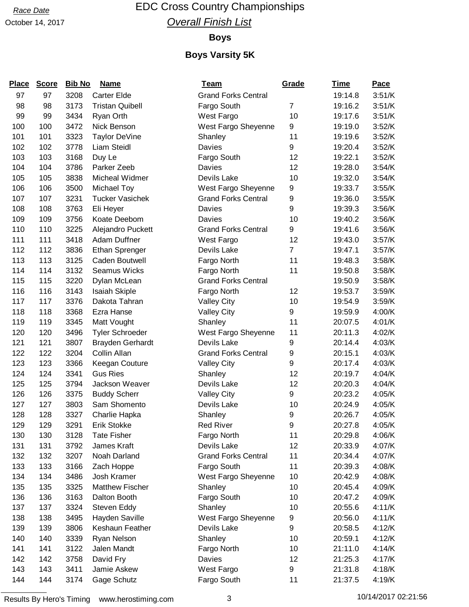# Race Date **EDC Cross Country Championships Overall Finish List**

#### **Boys**

### **Boys Varsity 5K**

| <b>Place</b> | <b>Score</b> | <b>Bib No</b> | <b>Name</b>             | <b>Team</b>                | Grade          | <u>Time</u> | <b>Pace</b> |
|--------------|--------------|---------------|-------------------------|----------------------------|----------------|-------------|-------------|
| 97           | 97           | 3208          | <b>Carter Elde</b>      | <b>Grand Forks Central</b> |                | 19:14.8     | 3:51/K      |
| 98           | 98           | 3173          | <b>Tristan Quibell</b>  | Fargo South                | 7              | 19:16.2     | 3:51/K      |
| 99           | 99           | 3434          | Ryan Orth               | West Fargo                 | 10             | 19:17.6     | 3:51/K      |
| 100          | 100          | 3472          | Nick Benson             | West Fargo Sheyenne        | 9              | 19:19.0     | 3:52/K      |
| 101          | 101          | 3323          | Taylor DeVine           | Shanley                    | 11             | 19:19.6     | 3:52/K      |
| 102          | 102          | 3778          | Liam Steidl             | Davies                     | 9              | 19:20.4     | 3:52/K      |
| 103          | 103          | 3168          | Duy Le                  | Fargo South                | 12             | 19:22.1     | 3:52/K      |
| 104          | 104          | 3786          | Parker Zeeb             | Davies                     | 12             | 19:28.0     | 3:54/K      |
| 105          | 105          | 3838          | Micheal Widmer          | Devils Lake                | 10             | 19:32.0     | 3:54/K      |
| 106          | 106          | 3500          | Michael Toy             | West Fargo Sheyenne        | 9              | 19:33.7     | 3:55/K      |
| 107          | 107          | 3231          | <b>Tucker Vasichek</b>  | <b>Grand Forks Central</b> | 9              | 19:36.0     | 3:55/K      |
| 108          | 108          | 3763          | Eli Heyer               | Davies                     | 9              | 19:39.3     | 3:56/K      |
| 109          | 109          | 3756          | Koate Deebom            | Davies                     | 10             | 19:40.2     | 3:56/K      |
| 110          | 110          | 3225          | Alejandro Puckett       | <b>Grand Forks Central</b> | 9              | 19:41.6     | 3:56/K      |
| 111          | 111          | 3418          | Adam Duffner            | West Fargo                 | 12             | 19:43.0     | 3:57/K      |
| 112          | 112          | 3836          | Ethan Sprenger          | Devils Lake                | $\overline{7}$ | 19:47.1     | 3:57/K      |
| 113          | 113          | 3125          | Caden Boutwell          | Fargo North                | 11             | 19:48.3     | 3:58/K      |
| 114          | 114          | 3132          | <b>Seamus Wicks</b>     | Fargo North                | 11             | 19:50.8     | 3:58/K      |
| 115          | 115          | 3220          | Dylan McLean            | <b>Grand Forks Central</b> |                | 19:50.9     | 3:58/K      |
| 116          | 116          | 3143          | Isaiah Skiple           | Fargo North                | 12             | 19:53.7     | 3:59/K      |
| 117          | 117          | 3376          | Dakota Tahran           | <b>Valley City</b>         | 10             | 19:54.9     | 3:59/K      |
| 118          | 118          | 3368          | Ezra Hanse              | <b>Valley City</b>         | 9              | 19:59.9     | 4:00/K      |
| 119          | 119          | 3345          | Matt Vought             | Shanley                    | 11             | 20:07.5     | 4:01/K      |
| 120          | 120          | 3496          | <b>Tyler Schroeder</b>  | West Fargo Sheyenne        | 11             | 20:11.3     | 4:02/K      |
| 121          | 121          | 3807          | <b>Brayden Gerhardt</b> | Devils Lake                | 9              | 20:14.4     | 4:03/K      |
| 122          | 122          | 3204          | Collin Allan            | <b>Grand Forks Central</b> | 9              | 20:15.1     | 4:03/K      |
| 123          | 123          | 3366          | Keegan Couture          | <b>Valley City</b>         | 9              | 20:17.4     | 4:03/K      |
| 124          | 124          | 3341          | <b>Gus Ries</b>         | Shanley                    | 12             | 20:19.7     | 4:04/K      |
| 125          | 125          | 3794          | Jackson Weaver          | Devils Lake                | 12             | 20:20.3     | 4:04/K      |
| 126          | 126          | 3375          | <b>Buddy Scherr</b>     | <b>Valley City</b>         | 9              | 20:23.2     | 4:05/K      |
| 127          | 127          | 3803          | Sam Shomento            | Devils Lake                | 10             | 20:24.9     | 4:05/K      |
| 128          | 128          | 3327          | Charlie Hapka           | Shanley                    | 9              | 20:26.7     | 4:05/K      |
| 129          | 129          | 3291          | <b>Erik Stokke</b>      | <b>Red River</b>           | 9              | 20:27.8     | 4:05/K      |
| 130          | 130          | 3128          | <b>Tate Fisher</b>      | Fargo North                | 11             | 20:29.8     | 4:06/K      |
| 131          | 131          | 3792          | James Kraft             | Devils Lake                | 12             | 20:33.9     | 4:07/K      |
| 132          | 132          | 3207          | Noah Darland            | <b>Grand Forks Central</b> | 11             | 20:34.4     | 4:07/K      |
| 133          | 133          | 3166          | Zach Hoppe              | Fargo South                | 11             | 20:39.3     | 4:08/K      |
| 134          | 134          | 3486          | Josh Kramer             | West Fargo Sheyenne        | 10             | 20:42.9     | 4:08/K      |
| 135          | 135          | 3325          | <b>Matthew Fischer</b>  | Shanley                    | 10             | 20:45.4     | 4:09/K      |
| 136          | 136          | 3163          | Dalton Booth            | Fargo South                | 10             | 20:47.2     | 4:09/K      |
| 137          | 137          | 3324          | Steven Eddy             | Shanley                    | 10             | 20:55.6     | 4:11/K      |
| 138          | 138          | 3495          | Hayden Saville          | West Fargo Sheyenne        | 9              | 20:56.0     | 4:11/K      |
| 139          | 139          | 3806          | Keshaun Feather         | Devils Lake                | 9              | 20:58.5     | 4:12/K      |
| 140          | 140          | 3339          | Ryan Nelson             | Shanley                    | 10             | 20:59.1     | 4:12/K      |
| 141          | 141          | 3122          | Jalen Mandt             | Fargo North                | 10             | 21:11.0     | 4:14/K      |
| 142          | 142          | 3758          | David Fry               | Davies                     | 12             | 21:25.3     | 4:17/K      |
| 143          | 143          | 3411          | Jamie Askew             | West Fargo                 | 9              | 21:31.8     | 4:18/K      |
| 144          | 144          | 3174          | Gage Schutz             | Fargo South                | 11             | 21:37.5     | 4:19/K      |

Results By Hero's Timing www.herostiming.com 3 3 10/14/2017 02:21:56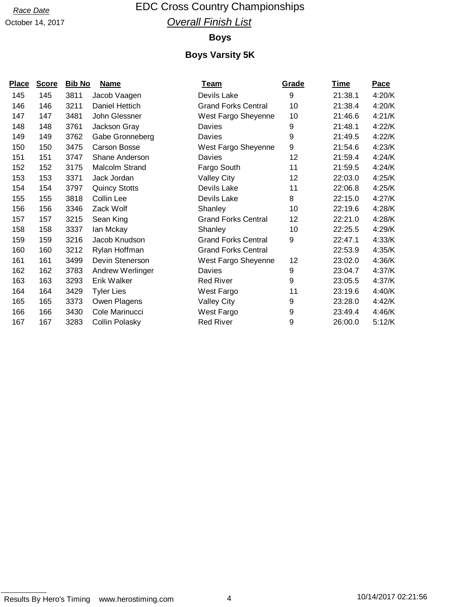# Race Date **EDC Cross Country Championships Overall Finish List**

#### **Boys**

| <b>Place</b> | <b>Score</b> | <b>Bib No</b> | <u>Name</u>           | <u>Team</u>                | <b>Grade</b> | <u>Time</u> | <u>Pace</u> |
|--------------|--------------|---------------|-----------------------|----------------------------|--------------|-------------|-------------|
| 145          | 145          | 3811          | Jacob Vaagen          | Devils Lake                | 9            | 21:38.1     | 4:20/K      |
| 146          | 146          | 3211          | Daniel Hettich        | <b>Grand Forks Central</b> | 10           | 21:38.4     | 4:20/K      |
| 147          | 147          | 3481          | John Glessner         | West Fargo Sheyenne        | 10           | 21:46.6     | 4:21/K      |
| 148          | 148          | 3761          | Jackson Gray          | Davies                     | 9            | 21:48.1     | 4:22/K      |
| 149          | 149          | 3762          | Gabe Gronneberg       | Davies                     | 9            | 21:49.5     | 4:22/K      |
| 150          | 150          | 3475          | <b>Carson Bosse</b>   | West Fargo Sheyenne        | 9            | 21:54.6     | 4:23/K      |
| 151          | 151          | 3747          | Shane Anderson        | Davies                     | 12           | 21:59.4     | 4:24/K      |
| 152          | 152          | 3175          | Malcolm Strand        | Fargo South                | 11           | 21:59.5     | 4:24/K      |
| 153          | 153          | 3371          | Jack Jordan           | <b>Valley City</b>         | 12           | 22:03.0     | 4:25/K      |
| 154          | 154          | 3797          | <b>Quincy Stotts</b>  | Devils Lake                | 11           | 22:06.8     | 4:25/K      |
| 155          | 155          | 3818          | Collin Lee            | Devils Lake                | 8            | 22:15.0     | 4:27/K      |
| 156          | 156          | 3346          | Zack Wolf             | Shanley                    | 10           | 22:19.6     | 4:28/K      |
| 157          | 157          | 3215          | Sean King             | <b>Grand Forks Central</b> | 12           | 22:21.0     | 4:28/K      |
| 158          | 158          | 3337          | Ian Mckay             | Shanley                    | 10           | 22:25.5     | 4:29/K      |
| 159          | 159          | 3216          | Jacob Knudson         | <b>Grand Forks Central</b> | 9            | 22:47.1     | 4:33/K      |
| 160          | 160          | 3212          | Rylan Hoffman         | <b>Grand Forks Central</b> |              | 22:53.9     | 4:35/K      |
| 161          | 161          | 3499          | Devin Stenerson       | West Fargo Sheyenne        | 12           | 23:02.0     | 4:36/K      |
| 162          | 162          | 3783          | Andrew Werlinger      | Davies                     | 9            | 23:04.7     | 4:37/K      |
| 163          | 163          | 3293          | Erik Walker           | <b>Red River</b>           | 9            | 23:05.5     | 4:37/K      |
| 164          | 164          | 3429          | <b>Tyler Lies</b>     | West Fargo                 | 11           | 23:19.6     | 4:40/K      |
| 165          | 165          | 3373          | Owen Plagens          | <b>Valley City</b>         | 9            | 23:28.0     | 4:42/K      |
| 166          | 166          | 3430          | Cole Marinucci        | West Fargo                 | 9            | 23:49.4     | 4:46/K      |
| 167          | 167          | 3283          | <b>Collin Polasky</b> | <b>Red River</b>           | 9            | 26:00.0     | 5:12/K      |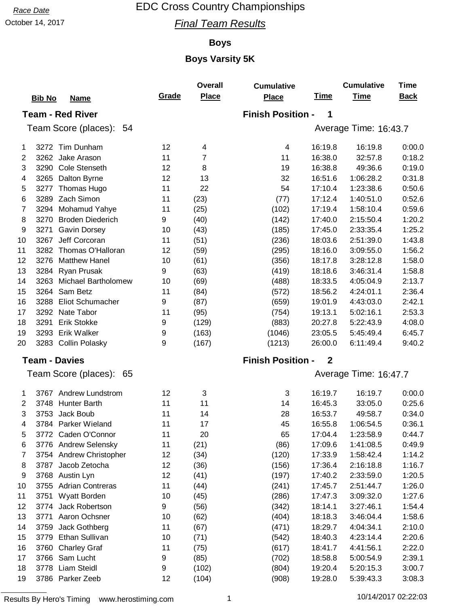October 14, 2017 **Final Team Results** 

### **Boys**

|                |                                    |       | Overall      | <b>Cumulative</b>        |                  | <b>Cumulative</b>     | <b>Time</b> |
|----------------|------------------------------------|-------|--------------|--------------------------|------------------|-----------------------|-------------|
|                | <b>Bib No</b><br><u>Name</u>       | Grade | <b>Place</b> | <b>Place</b>             | <u>Time</u>      | <b>Time</b>           | <b>Back</b> |
|                | <b>Team - Red River</b>            |       |              | <b>Finish Position -</b> | 1                |                       |             |
|                | Team Score (places): 54            |       |              |                          |                  | Average Time: 16:43.7 |             |
|                |                                    |       |              |                          |                  |                       |             |
| 1              | 3272 Tim Dunham                    | 12    | 4            | 4                        | 16:19.8          | 16:19.8               | 0:00.0      |
| $\overline{2}$ | 3262 Jake Arason                   | 11    | 7            | 11                       | 16:38.0          | 32:57.8               | 0:18.2      |
| 3              | <b>Cole Stenseth</b><br>3290       | 12    | 8            | 19                       | 16:38.8          | 49:36.6               | 0:19.0      |
| 4              | Dalton Byrne<br>3265               | 12    | 13           | 32                       | 16:51.6          | 1:06:28.2             | 0:31.8      |
| 5              | 3277<br>Thomas Hugo                | 11    | 22           | 54                       | 17:10.4          | 1:23:38.6             | 0:50.6      |
| 6              | 3289 Zach Simon                    | 11    | (23)         | (77)                     | 17:12.4          | 1:40:51.0             | 0:52.6      |
| 7              | Mohamud Yahye<br>3294              | 11    | (25)         | (102)                    | 17:19.4          | 1:58:10.4             | 0:59.6      |
| 8              | 3270<br><b>Broden Diederich</b>    | 9     | (40)         | (142)                    | 17:40.0          | 2:15:50.4             | 1:20.2      |
| 9              | 3271<br>Gavin Dorsey               | 10    | (43)         | (185)                    | 17:45.0          | 2:33:35.4             | 1:25.2      |
| 10             | Jeff Corcoran<br>3267              | 11    | (51)         | (236)                    | 18:03.6          | 2:51:39.0             | 1:43.8      |
| 11             | 3282 Thomas O'Halloran             | 12    | (59)         | (295)                    | 18:16.0          | 3:09:55.0             | 1:56.2      |
| 12             | <b>Matthew Hanel</b><br>3276       | 10    | (61)         | (356)                    | 18:17.8          | 3:28:12.8             | 1:58.0      |
| 13             | Ryan Prusak<br>3284                | 9     | (63)         | (419)                    | 18:18.6          | 3:46:31.4             | 1:58.8      |
| 14             | <b>Michael Bartholomew</b><br>3263 | 10    | (69)         | (488)                    | 18:33.5          | 4:05:04.9             | 2:13.7      |
| 15             | Sam Betz<br>3264                   | 11    | (84)         | (572)                    | 18:56.2          | 4:24:01.1             | 2:36.4      |
| 16             | Eliot Schumacher<br>3288           | 9     | (87)         | (659)                    | 19:01.9          | 4:43:03.0             | 2:42.1      |
| 17             | 3292<br>Nate Tabor                 | 11    | (95)         | (754)                    | 19:13.1          | 5:02:16.1             | 2:53.3      |
| 18             | <b>Erik Stokke</b><br>3291         | 9     | (129)        | (883)                    | 20:27.8          | 5:22:43.9             | 4:08.0      |
| 19             | Erik Walker<br>3293                | 9     | (163)        | (1046)                   | 23:05.5          | 5:45:49.4             | 6:45.7      |
| 20             | 3283 Collin Polasky                | 9     | (167)        | (1213)                   | 26:00.0          | 6:11:49.4             | 9:40.2      |
|                | <b>Team - Davies</b>               |       |              | <b>Finish Position -</b> | $\boldsymbol{2}$ |                       |             |
|                | Team Score (places): 65            |       |              |                          |                  | Average Time: 16:47.7 |             |
| 1              | 3767 Andrew Lundstrom              | 12    | 3            | 3                        | 16:19.7          | 16:19.7               | 0:00.0      |
| $\overline{2}$ | 3748<br><b>Hunter Barth</b>        | 11    | 11           | 14                       | 16:45.3          | 33:05.0               | 0:25.6      |
| 3              | 3753 Jack Boub                     | 11    | 14           | 28                       | 16:53.7          | 49:58.7               | 0:34.0      |
| 4              | 3784 Parker Wieland                | 11    | 17           | 45                       | 16:55.8          | 1:06:54.5             | 0:36.1      |
| 5              | 3772 Caden O'Connor                | 11    | 20           | 65                       | 17:04.4          | 1:23:58.9             | 0:44.7      |
| 6              | 3776 Andrew Selensky               | 11    | (21)         | (86)                     | 17:09.6          | 1:41:08.5             | 0:49.9      |
| 7              | 3754 Andrew Christopher            | 12    | (34)         | (120)                    | 17:33.9          | 1:58:42.4             | 1:14.2      |
| 8              | Jacob Zetocha<br>3787              | 12    | (36)         | (156)                    | 17:36.4          | 2:16:18.8             | 1:16.7      |
| 9              | 3768 Austin Lyn                    | 12    | (41)         | (197)                    | 17:40.2          | 2:33:59.0             | 1:20.5      |
| 10             | <b>Adrian Contreras</b><br>3755    | 11    | (44)         | (241)                    | 17:45.7          | 2:51:44.7             | 1:26.0      |
| 11             | Wyatt Borden<br>3751               | 10    | (45)         | (286)                    | 17:47.3          | 3:09:32.0             | 1:27.6      |
| 12             | Jack Robertson<br>3774             | 9     | (56)         | (342)                    | 18:14.1          | 3:27:46.1             | 1:54.4      |
| 13             | Aaron Ochsner<br>3771              | 10    | (62)         | (404)                    | 18:18.3          | 3:46:04.4             | 1:58.6      |
| 14             | Jack Gothberg<br>3759              | 11    | (67)         | (471)                    | 18:29.7          | 4:04:34.1             | 2:10.0      |
| 15             | Ethan Sullivan<br>3779             | 10    | (71)         | (542)                    | 18:40.3          | 4:23:14.4             | 2:20.6      |
| 16             | 3760<br><b>Charley Graf</b>        | 11    | (75)         | (617)                    | 18:41.7          | 4:41:56.1             | 2:22.0      |
| 17             | 3766 Sam Lucht                     | 9     | (85)         | (702)                    | 18:58.8          | 5:00:54.9             | 2:39.1      |
| 18             | 3778 Liam Steidl                   | 9     | (102)        | (804)                    | 19:20.4          | 5:20:15.3             | 3:00.7      |
| 19             | 3786 Parker Zeeb                   | 12    | (104)        | (908)                    | 19:28.0          | 5:39:43.3             | 3:08.3      |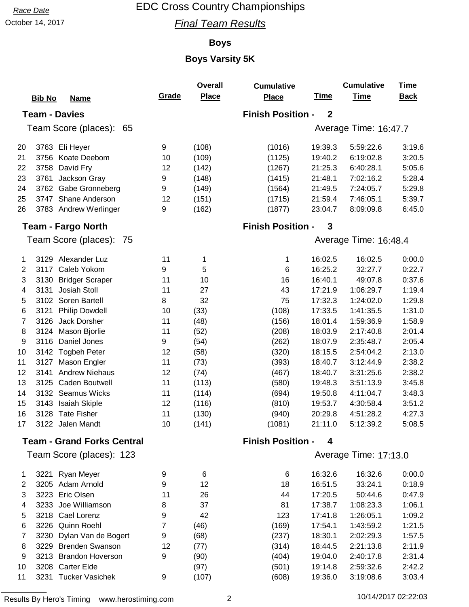October 14, 2017 **Final Team Results** 

### **Boys**

## **Boys Varsity 5K**

|                |                                   |       | <b>Overall</b> | <b>Cumulative</b>        |              | <b>Cumulative</b>     | <b>Time</b> |
|----------------|-----------------------------------|-------|----------------|--------------------------|--------------|-----------------------|-------------|
|                | <b>Bib No</b><br><b>Name</b>      | Grade | <b>Place</b>   | <b>Place</b>             | <u>Time</u>  | <b>Time</b>           | <b>Back</b> |
|                | <b>Team - Davies</b>              |       |                | <b>Finish Position -</b> | $\mathbf{2}$ |                       |             |
|                | Team Score (places): 65           |       |                |                          |              | Average Time: 16:47.7 |             |
|                |                                   |       |                |                          |              |                       |             |
| 20             | 3763 Eli Heyer                    | 9     | (108)          | (1016)                   | 19:39.3      | 5:59:22.6             | 3:19.6      |
| 21             | 3756<br>Koate Deebom              | 10    | (109)          | (1125)                   | 19:40.2      | 6:19:02.8             | 3:20.5      |
| 22             | 3758<br>David Fry                 | 12    | (142)          | (1267)                   | 21:25.3      | 6:40:28.1             | 5:05.6      |
| 23             | Jackson Gray<br>3761              | 9     | (148)          | (1415)                   | 21:48.1      | 7:02:16.2             | 5:28.4      |
| 24             | Gabe Gronneberg<br>3762           | 9     | (149)          | (1564)                   | 21:49.5      | 7:24:05.7             | 5:29.8      |
| 25             | 3747 Shane Anderson               | 12    | (151)          | (1715)                   | 21:59.4      | 7:46:05.1             | 5:39.7      |
| 26             | 3783 Andrew Werlinger             | 9     | (162)          | (1877)                   | 23:04.7      | 8:09:09.8             | 6:45.0      |
|                | <b>Team - Fargo North</b>         |       |                | <b>Finish Position -</b> | 3            |                       |             |
|                | Team Score (places): 75           |       |                |                          |              | Average Time: 16:48.4 |             |
| 1              | 3129 Alexander Luz                | 11    | 1              | 1                        | 16:02.5      | 16:02.5               | 0:00.0      |
| 2              | Caleb Yokom<br>3117               | 9     | 5              | 6                        | 16:25.2      | 32:27.7               | 0:22.7      |
| 3              | <b>Bridger Scraper</b><br>3130    | 11    | 10             | 16                       | 16:40.1      | 49:07.8               | 0:37.6      |
| 4              | 3131<br>Josiah Stoll              | 11    | 27             | 43                       | 17:21.9      | 1:06:29.7             | 1:19.4      |
| 5              | 3102 Soren Bartell                | 8     | 32             | 75                       | 17:32.3      | 1:24:02.0             | 1:29.8      |
| 6              | 3121<br><b>Philip Dowdell</b>     | 10    | (33)           | (108)                    | 17:33.5      | 1:41:35.5             | 1:31.0      |
| 7              | Jack Dorsher<br>3126              | 11    | (48)           | (156)                    | 18:01.4      | 1:59:36.9             | 1:58.9      |
| 8              | Mason Bjorlie<br>3124             | 11    | (52)           | (208)                    | 18:03.9      | 2:17:40.8             | 2:01.4      |
| 9              | Daniel Jones<br>3116              | 9     | (54)           | (262)                    | 18:07.9      | 2:35:48.7             | 2:05.4      |
| 10             | 3142 Togbeh Peter                 | 12    | (58)           | (320)                    | 18:15.5      | 2:54:04.2             | 2:13.0      |
| 11             | 3127<br>Mason Engler              | 11    | (73)           | (393)                    | 18:40.7      | 3:12:44.9             | 2:38.2      |
| 12             | <b>Andrew Niehaus</b><br>3141     | 12    | (74)           | (467)                    | 18:40.7      | 3:31:25.6             | 2:38.2      |
| 13             | Caden Boutwell<br>3125            | 11    | (113)          | (580)                    | 19:48.3      | 3:51:13.9             | 3:45.8      |
| 14             | 3132 Seamus Wicks                 | 11    | (114)          | (694)                    | 19:50.8      | 4:11:04.7             | 3:48.3      |
| 15             | 3143<br>Isaiah Skiple             | 12    | (116)          | (810)                    | 19:53.7      | 4:30:58.4             | 3:51.2      |
| 16             | 3128 Tate Fisher                  | 11    | (130)          | (940)                    | 20:29.8      | 4:51:28.2             | 4:27.3      |
| 17             | 3122 Jalen Mandt                  | 10    | (141)          | (1081)                   | 21:11.0      | 5:12:39.2             | 5:08.5      |
|                | <b>Team - Grand Forks Central</b> |       |                | <b>Finish Position -</b> | 4            |                       |             |
|                | Team Score (places): 123          |       |                |                          |              | Average Time: 17:13.0 |             |
| 1              | 3221 Ryan Meyer                   | 9     | 6              | 6                        | 16:32.6      | 16:32.6               | 0:00.0      |
| $\overline{2}$ | 3205 Adam Arnold                  | 9     | 12             | 18                       | 16:51.5      | 33:24.1               | 0:18.9      |
| 3              | 3223 Eric Olsen                   | 11    | 26             | 44                       | 17:20.5      | 50:44.6               | 0:47.9      |
| 4              | 3233 Joe Williamson               | 8     | 37             | 81                       | 17:38.7      | 1:08:23.3             | 1:06.1      |
| 5              | 3218 Cael Lorenz                  | 9     | 42             | 123                      | 17:41.8      | 1:26:05.1             | 1:09.2      |
| 6              | 3226 Quinn Roehl                  | 7     | (46)           | (169)                    | 17:54.1      | 1:43:59.2             | 1:21.5      |
| $\overline{7}$ | 3230 Dylan Van de Bogert          | 9     | (68)           | (237)                    | 18:30.1      | 2:02:29.3             | 1:57.5      |
| 8              | 3229 Brenden Swanson              | 12    | (77)           | (314)                    | 18:44.5      | 2:21:13.8             | 2:11.9      |
| 9              | <b>Brandon Hoverson</b><br>3213   | 9     | (90)           | (404)                    | 19:04.0      | 2:40:17.8             | 2:31.4      |
| 10             | 3208 Carter Elde                  |       | (97)           | (501)                    | 19:14.8      | 2:59:32.6             | 2:42.2      |
| 11             | 3231 Tucker Vasichek              | 9     | (107)          | (608)                    | 19:36.0      | 3:19:08.6             | 3:03.4      |
|                |                                   |       |                |                          |              |                       |             |

Results By Hero's Timing www.herostiming.com 2 10/14/2017 02:22:03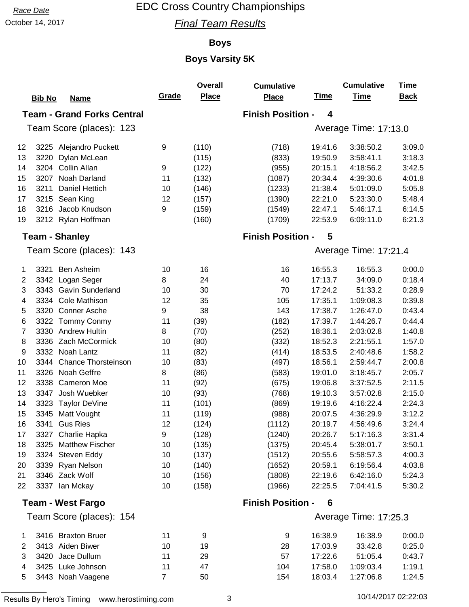October 14, 2017 **Final Team Results** 

### **Boys**

## **Boys Varsity 5K**

|    |                                    |       | <b>Overall</b> | <b>Cumulative</b>        |             | <b>Cumulative</b>     | <b>Time</b> |
|----|------------------------------------|-------|----------------|--------------------------|-------------|-----------------------|-------------|
|    | <b>Bib No</b><br><b>Name</b>       | Grade | <b>Place</b>   | Place                    | <u>Time</u> | <b>Time</b>           | <b>Back</b> |
|    | <b>Team - Grand Forks Central</b>  |       |                | <b>Finish Position -</b> | 4           |                       |             |
|    | Team Score (places): 123           |       |                |                          |             | Average Time: 17:13.0 |             |
| 12 | 3225 Alejandro Puckett             | 9     | (110)          | (718)                    | 19:41.6     | 3:38:50.2             | 3:09.0      |
| 13 | 3220<br>Dylan McLean               |       | (115)          | (833)                    | 19:50.9     | 3:58:41.1             | 3:18.3      |
| 14 | Collin Allan<br>3204               | 9     | (122)          | (955)                    | 20:15.1     | 4:18:56.2             | 3:42.5      |
| 15 | Noah Darland<br>3207               | 11    | (132)          | (1087)                   | 20:34.4     | 4:39:30.6             | 4:01.8      |
| 16 | Daniel Hettich<br>3211             | 10    | (146)          | (1233)                   | 21:38.4     | 5:01:09.0             | 5:05.8      |
| 17 | 3215 Sean King                     | 12    | (157)          | (1390)                   | 22:21.0     | 5:23:30.0             | 5:48.4      |
| 18 | 3216 Jacob Knudson                 | 9     | (159)          | (1549)                   | 22:47.1     | 5:46:17.1             | 6:14.5      |
| 19 | 3212 Rylan Hoffman                 |       | (160)          | (1709)                   | 22:53.9     | 6:09:11.0             | 6:21.3      |
|    | <b>Team - Shanley</b>              |       |                | <b>Finish Position -</b> | 5           |                       |             |
|    | Team Score (places): 143           |       |                |                          |             | Average Time: 17:21.4 |             |
| 1  | 3321<br><b>Ben Asheim</b>          | 10    | 16             | 16                       | 16:55.3     | 16:55.3               | 0:00.0      |
| 2  | Logan Seger<br>3342                | 8     | 24             | 40                       | 17:13.7     | 34:09.0               | 0:18.4      |
| 3  | 3343 Gavin Sunderland              | 10    | 30             | 70                       | 17:24.2     | 51:33.2               | 0:28.9      |
| 4  | 3334 Cole Mathison                 | 12    | 35             | 105                      | 17:35.1     | 1:09:08.3             | 0:39.8      |
| 5  | 3320<br><b>Conner Asche</b>        | 9     | 38             | 143                      | 17:38.7     | 1:26:47.0             | 0:43.4      |
| 6  | 3322 Tommy Conmy                   | 11    | (39)           | (182)                    | 17:39.7     | 1:44:26.7             | 0:44.4      |
| 7  | 3330 Andrew Hultin                 | 8     | (70)           | (252)                    | 18:36.1     | 2:03:02.8             | 1:40.8      |
| 8  | 3336 Zach McCormick                | 10    | (80)           | (332)                    | 18:52.3     | 2:21:55.1             | 1:57.0      |
| 9  | 3332 Noah Lantz                    | 11    | (82)           | (414)                    | 18:53.5     | 2:40:48.6             | 1:58.2      |
| 10 | <b>Chance Thorsteinson</b><br>3344 | 10    | (83)           | (497)                    | 18:56.1     | 2:59:44.7             | 2:00.8      |
| 11 | 3326 Noah Geffre                   | 8     | (86)           | (583)                    | 19:01.0     | 3:18:45.7             | 2:05.7      |
| 12 | 3338<br><b>Cameron Moe</b>         | 11    | (92)           | (675)                    | 19:06.8     | 3:37:52.5             | 2:11.5      |
| 13 | 3347<br>Josh Wuebker               | 10    | (93)           | (768)                    | 19:10.3     | 3:57:02.8             | 2:15.0      |
| 14 | 3323 Taylor DeVine                 | 11    | (101)          | (869)                    | 19:19.6     | 4:16:22.4             | 2:24.3      |
| 15 | 3345 Matt Vought                   | 11    | (119)          | (988)                    | 20:07.5     | 4:36:29.9             | 3:12.2      |
| 16 | 3341 Gus Ries                      | 12    | (124)          | (1112)                   | 20:19.7     | 4:56:49.6             | 3:24.4      |
| 17 | 3327 Charlie Hapka                 | 9     | (128)          | (1240)                   | 20:26.7     | 5:17:16.3             | 3:31.4      |
| 18 | 3325 Matthew Fischer               | 10    | (135)          | (1375)                   | 20:45.4     | 5:38:01.7             | 3:50.1      |
| 19 | 3324 Steven Eddy                   | 10    | (137)          | (1512)                   | 20:55.6     | 5:58:57.3             | 4:00.3      |
| 20 | 3339 Ryan Nelson                   | 10    | (140)          | (1652)                   | 20:59.1     | 6:19:56.4             | 4:03.8      |
| 21 | 3346 Zack Wolf                     | 10    | (156)          | (1808)                   | 22:19.6     | 6:42:16.0             | 5:24.3      |
| 22 | 3337 Ian Mckay                     | 10    | (158)          | (1966)                   | 22:25.5     | 7:04:41.5             | 5:30.2      |
|    | <b>Team - West Fargo</b>           |       |                | <b>Finish Position -</b> | 6           |                       |             |
|    | Team Score (places): 154           |       |                |                          |             | Average Time: 17:25.3 |             |

| 3416 Braxton Bruer  | 11 | 9  | 9   | 16:38.9 | 16:38.9   | 0:00.0 |
|---------------------|----|----|-----|---------|-----------|--------|
| 2 3413 Aiden Biwer  | 10 | 19 | 28  | 17:03.9 | 33:42.8   | 0:25.0 |
| 3 3420 Jace Dullum  | 11 | 29 | 57  | 17:22.6 | 51:05.4   | 0:43.7 |
| 4 3425 Luke Johnson | 11 | 47 | 104 | 17:58.0 | 1:09:03.4 | 1:19.1 |
| 5 3443 Noah Vaagene |    | 50 | 154 | 18:03.4 | 1:27:06.8 | 1:24.5 |
|                     |    |    |     |         |           |        |

Results By Hero's Timing www.herostiming.com 3 10/14/2017 02:22:03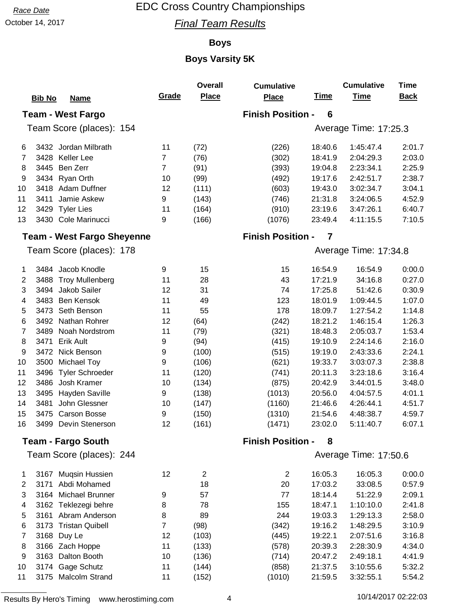October 14, 2017 **Final Team Results** 

### **Boys**

|                |                                   |                | <b>Overall</b> | <b>Cumulative</b>        |             | <b>Cumulative</b>     | <b>Time</b> |
|----------------|-----------------------------------|----------------|----------------|--------------------------|-------------|-----------------------|-------------|
|                | <b>Bib No</b><br><b>Name</b>      | Grade          | <b>Place</b>   | <b>Place</b>             | <u>Time</u> | <b>Time</b>           | <b>Back</b> |
|                | <b>Team - West Fargo</b>          |                |                | <b>Finish Position -</b> | 6           |                       |             |
|                | Team Score (places): 154          |                |                |                          |             | Average Time: 17:25.3 |             |
|                |                                   |                |                |                          |             |                       |             |
| 6              | 3432 Jordan Milbrath              | 11             | (72)           | (226)                    | 18:40.6     | 1:45:47.4             | 2:01.7      |
| 7              | Keller Lee<br>3428                | $\overline{7}$ | (76)           | (302)                    | 18:41.9     | 2:04:29.3             | 2:03.0      |
| 8              | Ben Zerr<br>3445                  | $\overline{7}$ | (91)           | (393)                    | 19:04.8     | 2:23:34.1             | 2:25.9      |
| 9              | 3434<br>Ryan Orth                 | 10             | (99)           | (492)                    | 19:17.6     | 2:42:51.7             | 2:38.7      |
| 10             | Adam Duffner<br>3418              | 12             | (111)          | (603)                    | 19:43.0     | 3:02:34.7             | 3:04.1      |
| 11             | 3411<br>Jamie Askew               | 9              | (143)          | (746)                    | 21:31.8     | 3:24:06.5             | 4:52.9      |
| 12             | 3429 Tyler Lies                   | 11             | (164)          | (910)                    | 23:19.6     | 3:47:26.1             | 6:40.7      |
| 13             | 3430 Cole Marinucci               | 9              | (166)          | (1076)                   | 23:49.4     | 4:11:15.5             | 7:10.5      |
|                | <b>Team - West Fargo Sheyenne</b> |                |                | <b>Finish Position -</b> | 7           |                       |             |
|                | Team Score (places): 178          |                |                |                          |             | Average Time: 17:34.8 |             |
| 1              | 3484 Jacob Knodle                 | 9              | 15             | 15                       | 16:54.9     | 16:54.9               | 0:00.0      |
| $\overline{2}$ | <b>Troy Mullenberg</b><br>3488    | 11             | 28             | 43                       | 17:21.9     | 34:16.8               | 0:27.0      |
| 3              | Jakob Sailer<br>3494              | 12             | 31             | 74                       | 17:25.8     | 51:42.6               | 0:30.9      |
| 4              | <b>Ben Kensok</b><br>3483         | 11             | 49             | 123                      | 18:01.9     | 1:09:44.5             | 1:07.0      |
| 5              | 3473<br>Seth Benson               | 11             | 55             | 178                      | 18:09.7     | 1:27:54.2             | 1:14.8      |
| 6              | Nathan Rohrer<br>3492             | 12             | (64)           | (242)                    | 18:21.2     | 1:46:15.4             | 1:26.3      |
| 7              | Noah Nordstrom<br>3489            | 11             | (79)           | (321)                    | 18:48.3     | 2:05:03.7             | 1:53.4      |
| 8              | 3471<br><b>Erik Ault</b>          | 9              | (94)           | (415)                    | 19:10.9     | 2:24:14.6             | 2:16.0      |
| 9              | Nick Benson<br>3472               | 9              | (100)          | (515)                    | 19:19.0     | 2:43:33.6             | 2:24.1      |
| 10             | 3500<br><b>Michael Toy</b>        | 9              | (106)          | (621)                    | 19:33.7     | 3:03:07.3             | 2:38.8      |
| 11             | <b>Tyler Schroeder</b><br>3496    | 11             | (120)          | (741)                    | 20:11.3     | 3:23:18.6             | 3:16.4      |
| 12             | 3486<br>Josh Kramer               | 10             | (134)          | (875)                    | 20:42.9     | 3:44:01.5             | 3:48.0      |
| 13             | 3495<br>Hayden Saville            | 9              | (138)          | (1013)                   | 20:56.0     | 4:04:57.5             | 4:01.1      |
| 14             | John Glessner<br>3481             | 10             | (147)          | (1160)                   | 21:46.6     | 4:26:44.1             | 4:51.7      |
| 15             | 3475 Carson Bosse                 | 9              | (150)          | (1310)                   | 21:54.6     | 4:48:38.7             | 4:59.7      |
| 16             | 3499 Devin Stenerson              | 12             | (161)          | (1471)                   | 23:02.0     | 5:11:40.7             | 6:07.1      |
|                | <b>Team - Fargo South</b>         |                |                | <b>Finish Position -</b> | 8           |                       |             |
|                | Team Score (places): 244          |                |                |                          |             | Average Time: 17:50.6 |             |
| 1              | 3167 Muqsin Hussien               | 12             | $\overline{2}$ | $\overline{c}$           | 16:05.3     | 16:05.3               | 0:00.0      |
| 2              | Abdi Mohamed<br>3171              |                | 18             | 20                       | 17:03.2     | 33:08.5               | 0:57.9      |
| 3              | Michael Brunner<br>3164           | 9              | 57             | 77                       | 18:14.4     | 51:22.9               | 2:09.1      |
| 4              | 3162 Teklezegi behre              | 8              | 78             | 155                      | 18:47.1     | 1:10:10.0             | 2:41.8      |
| 5              | 3161 Abram Anderson               | 8              | 89             | 244                      | 19:03.3     | 1:29:13.3             | 2:58.0      |
| $\,6$          | <b>Tristan Quibell</b><br>3173    | $\overline{7}$ | (98)           | (342)                    | 19:16.2     | 1:48:29.5             | 3:10.9      |
| $\overline{7}$ | 3168 Duy Le                       | 12             | (103)          | (445)                    | 19:22.1     | 2:07:51.6             | 3:16.8      |
| 8              | 3166 Zach Hoppe                   | 11             | (133)          | (578)                    | 20:39.3     | 2:28:30.9             | 4:34.0      |
| 9              | 3163<br>Dalton Booth              | 10             | (136)          | (714)                    | 20:47.2     | 2:49:18.1             | 4:41.9      |
| 10             | Gage Schutz<br>3174               | 11             | (144)          | (858)                    | 21:37.5     | 3:10:55.6             | 5:32.2      |
| 11             | 3175 Malcolm Strand               | 11             | (152)          | (1010)                   | 21:59.5     | 3:32:55.1             | 5:54.2      |
|                |                                   |                |                |                          |             |                       |             |